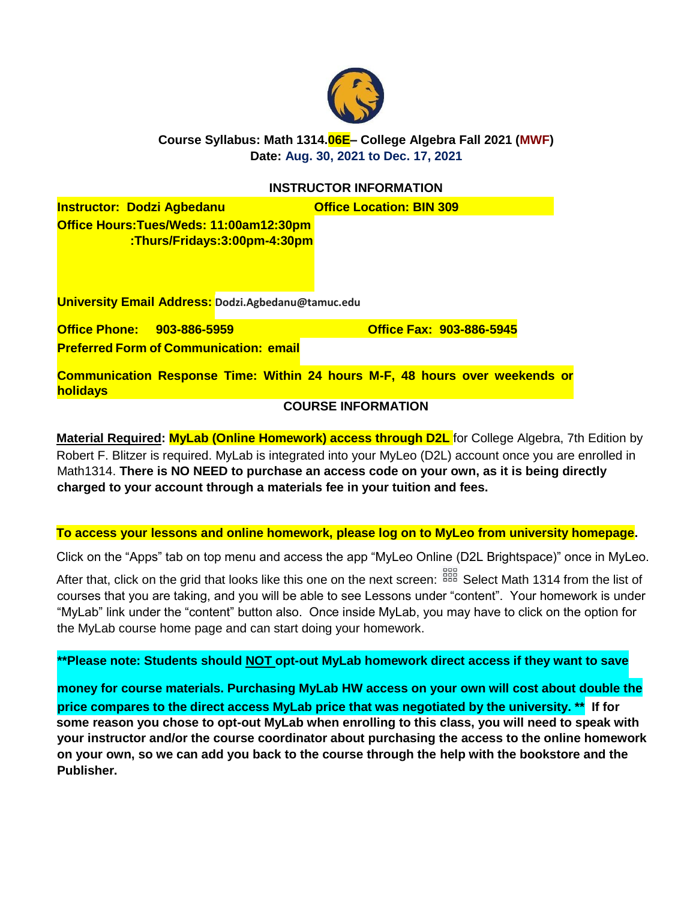

**Course Syllabus: Math 1314.06E– College Algebra Fall 2021 (MWF) Date: Aug. 30, 2021 to Dec. 17, 2021**

## **INSTRUCTOR INFORMATION**

**Instructor: Dodzi Agbedanu by Collistic Construction: BIN 309 Office Hours:Tues/Weds: 11:00am12:30pm :Thurs/Fridays:3:00pm-4:30pm** 

**University Email Address: Dodzi.Agbedanu@tamuc.edu**

**Office Phone: 903-886-5959 Office Fax: 903-886-5945**

**Preferred Form of Communication: email**

**Communication Response Time: Within 24 hours M-F, 48 hours over weekends or holidays**

### **COURSE INFORMATION**

**Material Required: MyLab (Online Homework) access through D2L** for College Algebra, 7th Edition by Robert F. Blitzer is required. MyLab is integrated into your MyLeo (D2L) account once you are enrolled in Math1314. **There is NO NEED to purchase an access code on your own, as it is being directly charged to your account through a materials fee in your tuition and fees.**

#### **To access your lessons and online homework, please log on to MyLeo from university homepage.**

Click on the "Apps" tab on top menu and access the app "MyLeo Online (D2L Brightspace)" once in MyLeo.

After that, click on the grid that looks like this one on the next screen: <sup>888</sup> Select Math 1314 from the list of courses that you are taking, and you will be able to see Lessons under "content". Your homework is under "MyLab" link under the "content" button also. Once inside MyLab, you may have to click on the option for the MyLab course home page and can start doing your homework.

## **\*\*Please note: Students should NOT opt-out MyLab homework direct access if they want to save**

**money for course materials. Purchasing MyLab HW access on your own will cost about double the price compares to the direct access MyLab price that was negotiated by the university. \*\* If for some reason you chose to opt-out MyLab when enrolling to this class, you will need to speak with your instructor and/or the course coordinator about purchasing the access to the online homework on your own, so we can add you back to the course through the help with the bookstore and the Publisher.**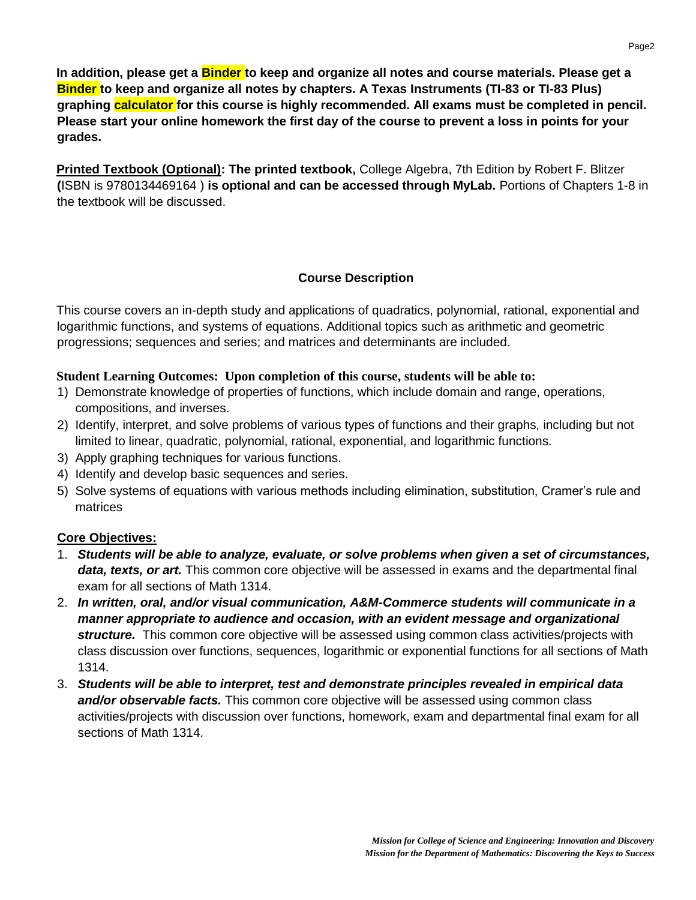**In addition, please get a Binder to keep and organize all notes and course materials. Please get a Binder to keep and organize all notes by chapters. A Texas Instruments (TI-83 or TI-83 Plus) graphing calculator for this course is highly recommended. All exams must be completed in pencil. Please start your online homework the first day of the course to prevent a loss in points for your grades.**

**Printed Textbook (Optional): The printed textbook,** College Algebra, 7th Edition by Robert F. Blitzer **(**ISBN is 9780134469164 ) **is optional and can be accessed through MyLab.** Portions of Chapters 1-8 in the textbook will be discussed.

## **Course Description**

This course covers an in-depth study and applications of quadratics, polynomial, rational, exponential and logarithmic functions, and systems of equations. Additional topics such as arithmetic and geometric progressions; sequences and series; and matrices and determinants are included.

## **Student Learning Outcomes: Upon completion of this course, students will be able to:**

- 1) Demonstrate knowledge of properties of functions, which include domain and range, operations, compositions, and inverses.
- 2) Identify, interpret, and solve problems of various types of functions and their graphs, including but not limited to linear, quadratic, polynomial, rational, exponential, and logarithmic functions.
- 3) Apply graphing techniques for various functions.
- 4) Identify and develop basic sequences and series.
- 5) Solve systems of equations with various methods including elimination, substitution, Cramer's rule and matrices

# **Core Objectives:**

- 1. *Students will be able to analyze, evaluate, or solve problems when given a set of circumstances, data, texts, or art.* This common core objective will be assessed in exams and the departmental final exam for all sections of Math 1314.
- 2. *In written, oral, and/or visual communication, A&M-Commerce students will communicate in a manner appropriate to audience and occasion, with an evident message and organizational structure.* This common core objective will be assessed using common class activities/projects with class discussion over functions, sequences, logarithmic or exponential functions for all sections of Math 1314.
- 3. *Students will be able to interpret, test and demonstrate principles revealed in empirical data and/or observable facts.* This common core objective will be assessed using common class activities/projects with discussion over functions, homework, exam and departmental final exam for all sections of Math 1314.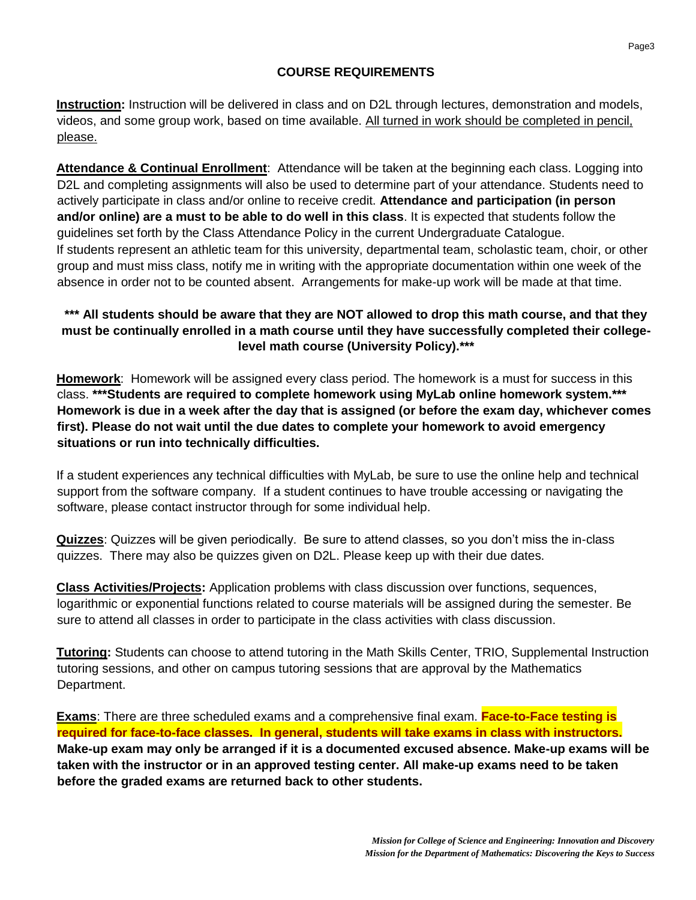## **COURSE REQUIREMENTS**

**Instruction:** Instruction will be delivered in class and on D2L through lectures, demonstration and models, videos, and some group work, based on time available. All turned in work should be completed in pencil, please.

**Attendance & Continual Enrollment**: Attendance will be taken at the beginning each class. Logging into D2L and completing assignments will also be used to determine part of your attendance. Students need to actively participate in class and/or online to receive credit. **Attendance and participation (in person and/or online) are a must to be able to do well in this class**. It is expected that students follow the guidelines set forth by the Class Attendance Policy in the current Undergraduate Catalogue. If students represent an athletic team for this university, departmental team, scholastic team, choir, or other group and must miss class, notify me in writing with the appropriate documentation within one week of the absence in order not to be counted absent. Arrangements for make-up work will be made at that time.

## **\*\*\* All students should be aware that they are NOT allowed to drop this math course, and that they must be continually enrolled in a math course until they have successfully completed their collegelevel math course (University Policy).\*\*\***

**Homework**: Homework will be assigned every class period. The homework is a must for success in this class. **\*\*\*Students are required to complete homework using MyLab online homework system.\*\*\* Homework is due in a week after the day that is assigned (or before the exam day, whichever comes first). Please do not wait until the due dates to complete your homework to avoid emergency situations or run into technically difficulties.**

If a student experiences any technical difficulties with MyLab, be sure to use the online help and technical support from the software company. If a student continues to have trouble accessing or navigating the software, please contact instructor through for some individual help.

**Quizzes**: Quizzes will be given periodically. Be sure to attend classes, so you don't miss the in-class quizzes. There may also be quizzes given on D2L. Please keep up with their due dates.

**Class Activities/Projects:** Application problems with class discussion over functions, sequences, logarithmic or exponential functions related to course materials will be assigned during the semester. Be sure to attend all classes in order to participate in the class activities with class discussion.

**Tutoring:** Students can choose to attend tutoring in the Math Skills Center, TRIO, Supplemental Instruction tutoring sessions, and other on campus tutoring sessions that are approval by the Mathematics Department.

**Exams**: There are three scheduled exams and a comprehensive final exam. **Face-to-Face testing is required for face-to-face classes. In general, students will take exams in class with instructors. Make-up exam may only be arranged if it is a documented excused absence. Make-up exams will be taken with the instructor or in an approved testing center. All make-up exams need to be taken before the graded exams are returned back to other students.**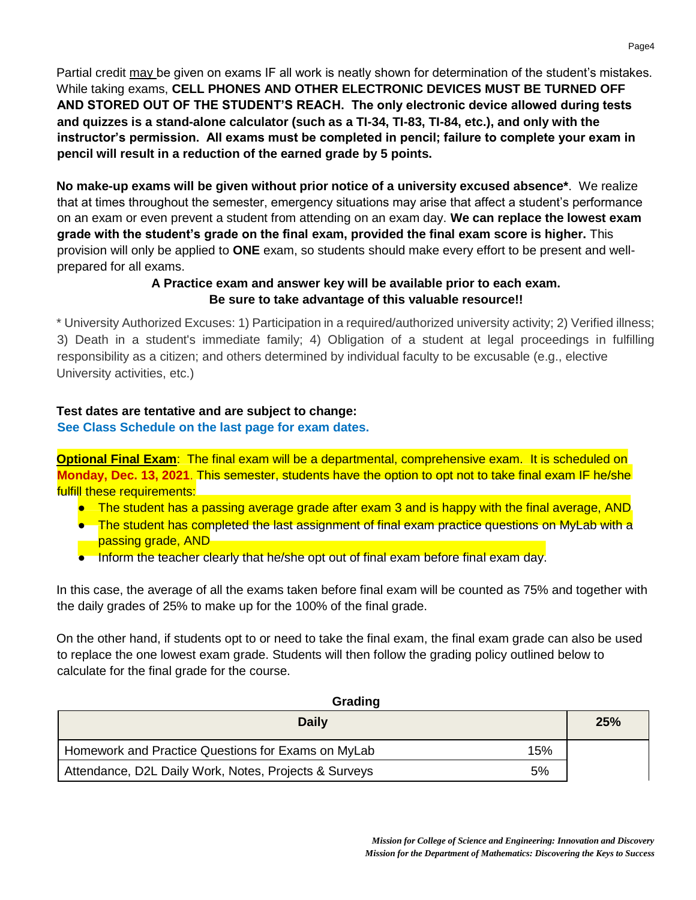Partial credit may be given on exams IF all work is neatly shown for determination of the student's mistakes. While taking exams, **CELL PHONES AND OTHER ELECTRONIC DEVICES MUST BE TURNED OFF AND STORED OUT OF THE STUDENT'S REACH. The only electronic device allowed during tests and quizzes is a stand-alone calculator (such as a TI-34, TI-83, TI-84, etc.), and only with the instructor's permission. All exams must be completed in pencil; failure to complete your exam in pencil will result in a reduction of the earned grade by 5 points.**

**No make-up exams will be given without prior notice of a university excused absence\***. We realize that at times throughout the semester, emergency situations may arise that affect a student's performance on an exam or even prevent a student from attending on an exam day. **We can replace the lowest exam grade with the student's grade on the final exam, provided the final exam score is higher.** This provision will only be applied to **ONE** exam, so students should make every effort to be present and wellprepared for all exams.

## **A Practice exam and answer key will be available prior to each exam. Be sure to take advantage of this valuable resource!!**

\* University Authorized Excuses: 1) Participation in a required/authorized university activity; 2) Verified illness; 3) Death in a student's immediate family; 4) Obligation of a student at legal proceedings in fulfilling responsibility as a citizen; and others determined by individual faculty to be excusable (e.g., elective University activities, etc.)

#### **Test dates are tentative and are subject to change: See Class Schedule on the last page for exam dates.**

**Optional Final Exam:** The final exam will be a departmental, comprehensive exam. It is scheduled on **Monday, Dec. 13, 2021**. This semester, students have the option to opt not to take final exam IF he/she fulfill these requirements:

- The student has a passing average grade after exam 3 and is happy with the final average, AND
- The student has completed the last assignment of final exam practice questions on MyLab with a passing grade, AND
- Inform the teacher clearly that he/she opt out of final exam before final exam day.

In this case, the average of all the exams taken before final exam will be counted as 75% and together with the daily grades of 25% to make up for the 100% of the final grade.

On the other hand, if students opt to or need to take the final exam, the final exam grade can also be used to replace the one lowest exam grade. Students will then follow the grading policy outlined below to calculate for the final grade for the course.

| Grading                                                     |     |  |  |  |
|-------------------------------------------------------------|-----|--|--|--|
| <b>Daily</b>                                                | 25% |  |  |  |
| Homework and Practice Questions for Exams on MyLab<br>15%   |     |  |  |  |
| 5%<br>Attendance, D2L Daily Work, Notes, Projects & Surveys |     |  |  |  |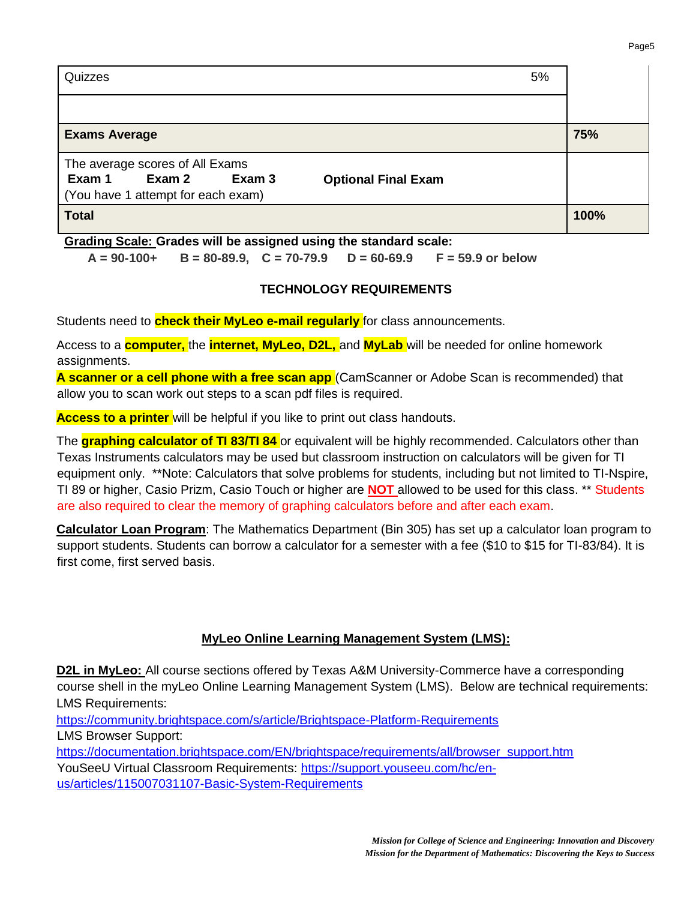| Quizzes<br>5%                                            |      |  |  |  |  |
|----------------------------------------------------------|------|--|--|--|--|
|                                                          |      |  |  |  |  |
| <b>Exams Average</b>                                     | 75%  |  |  |  |  |
| The average scores of All Exams                          |      |  |  |  |  |
| Exam 2<br>Exam 1<br>Exam 3<br><b>Optional Final Exam</b> |      |  |  |  |  |
| (You have 1 attempt for each exam)                       |      |  |  |  |  |
| <b>Total</b>                                             | 100% |  |  |  |  |

**Grading Scale: Grades will be assigned using the standard scale:**

**A = 90-100+ B = 80-89.9, C = 70-79.9 D = 60-69.9 F = 59.9 or below**

### **TECHNOLOGY REQUIREMENTS**

Students need to **check their MyLeo e-mail regularly** for class announcements.

Access to a **computer,** the **internet, MyLeo, D2L,** and **MyLab** will be needed for online homework assignments.

**A scanner or a cell phone with a free scan app** (CamScanner or Adobe Scan is recommended) that allow you to scan work out steps to a scan pdf files is required.

**Access to a printer** will be helpful if you like to print out class handouts.

The **graphing calculator of TI 83/TI 84** or equivalent will be highly recommended. Calculators other than Texas Instruments calculators may be used but classroom instruction on calculators will be given for TI equipment only. \*\*Note: Calculators that solve problems for students, including but not limited to TI-Nspire, TI 89 or higher, Casio Prizm, Casio Touch or higher are **NOT** allowed to be used for this class. \*\* Students are also required to clear the memory of graphing calculators before and after each exam.

**Calculator Loan Program**: The Mathematics Department (Bin 305) has set up a calculator loan program to support students. Students can borrow a calculator for a semester with a fee (\$10 to \$15 for TI-83/84). It is first come, first served basis.

# **MyLeo Online Learning Management System (LMS):**

**D2L in MyLeo:** All course sections offered by Texas A&M University-Commerce have a corresponding course shell in the myLeo Online Learning Management System (LMS). Below are technical requirements: LMS Requirements:

<https://community.brightspace.com/s/article/Brightspace-Platform-Requirements> LMS Browser Support:

[https://documentation.brightspace.com/EN/brightspace/requirements/all/browser\\_support.htm](https://documentation.brightspace.com/EN/brightspace/requirements/all/browser_support.htm) 

YouSeeU Virtual Classroom Requirements: [https://support.youseeu.com/hc/en-](https://support.youseeu.com/hc/en-us/articles/115007031107-Basic-System-Requirements)

[us/articles/115007031107-Basic-System-Requirements](https://support.youseeu.com/hc/en-us/articles/115007031107-Basic-System-Requirements)

Page<sub>5</sub>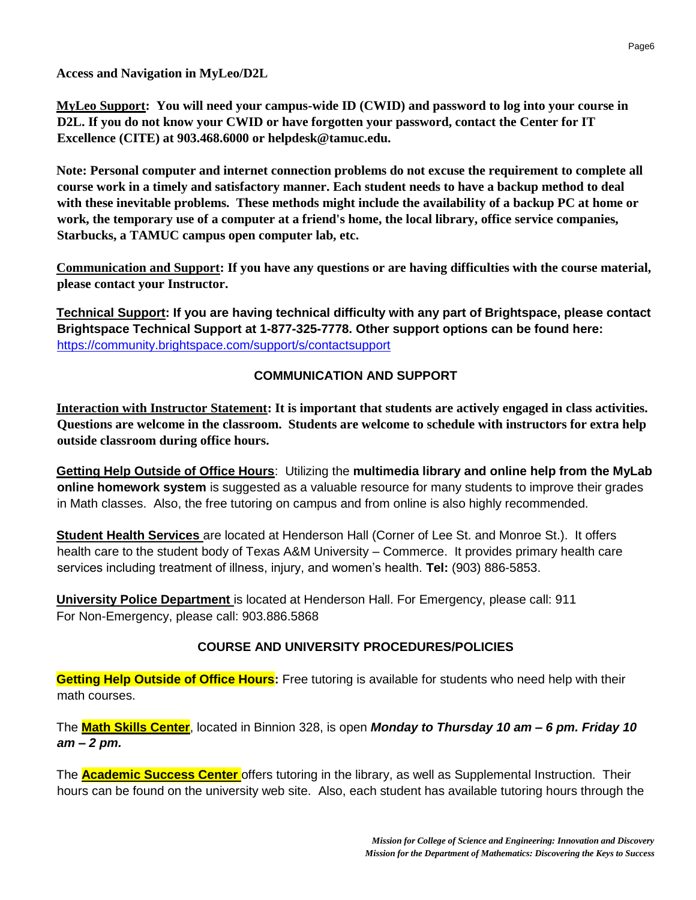**Access and Navigation in MyLeo/D2L**

**MyLeo Support: You will need your campus-wide ID (CWID) and password to log into your course in D2L. If you do not know your CWID or have forgotten your password, contact the Center for IT Excellence (CITE) at 903.468.6000 or helpdesk@tamuc.edu.**

**Note: Personal computer and internet connection problems do not excuse the requirement to complete all course work in a timely and satisfactory manner. Each student needs to have a backup method to deal with these inevitable problems. These methods might include the availability of a backup PC at home or work, the temporary use of a computer at a friend's home, the local library, office service companies, Starbucks, a TAMUC campus open computer lab, etc.**

**Communication and Support: If you have any questions or are having difficulties with the course material, please contact your Instructor.**

**Technical Support: If you are having technical difficulty with any part of Brightspace, please contact Brightspace Technical Support at 1-877-325-7778. Other support options can be found here:** <https://community.brightspace.com/support/s/contactsupport>

## **COMMUNICATION AND SUPPORT**

**Interaction with Instructor Statement: It is important that students are actively engaged in class activities. Questions are welcome in the classroom. Students are welcome to schedule with instructors for extra help outside classroom during office hours.**

**Getting Help Outside of Office Hours**: Utilizing the **multimedia library and online help from the MyLab online homework system** is suggested as a valuable resource for many students to improve their grades in Math classes. Also, the free tutoring on campus and from online is also highly recommended.

**Student Health Services** are located at Henderson Hall (Corner of Lee St. and Monroe St.). It offers health care to the student body of Texas A&M University – Commerce. It provides primary health care services including treatment of illness, injury, and women's health. **Tel:** (903) 886-5853.

**University Police Department** is located at Henderson Hall. For Emergency, please call: 911 For Non-Emergency, please call: 903.886.5868

## **COURSE AND UNIVERSITY PROCEDURES/POLICIES**

**Getting Help Outside of Office Hours:** Free tutoring is available for students who need help with their math courses.

The **Math Skills Center**, located in Binnion 328, is open *Monday to Thursday 10 am – 6 pm. Friday 10 am – 2 pm.*

The **Academic Success Center** offers tutoring in the library, as well as Supplemental Instruction. Their hours can be found on the university web site. Also, each student has available tutoring hours through the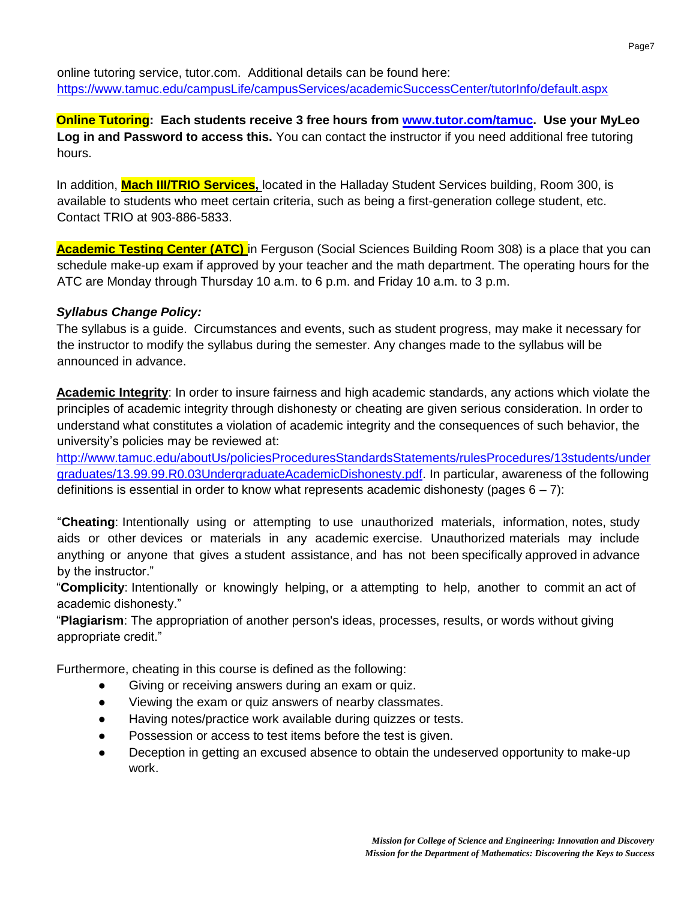online tutoring service, tutor.com. Additional details can be found here: <https://www.tamuc.edu/campusLife/campusServices/academicSuccessCenter/tutorInfo/default.aspx>

**Online Tutoring: Each students receive 3 free hours from [www.tutor.com/tamuc.](http://www.tutor.com/tamuc) Use your MyLeo**  Log in and Password to access this. You can contact the instructor if you need additional free tutoring hours.

In addition, **Mach III/TRIO Services,** located in the Halladay Student Services building, Room 300, is available to students who meet certain criteria, such as being a first-generation college student, etc. Contact TRIO at 903-886-5833.

**Academic Testing Center (ATC)** in Ferguson (Social Sciences Building Room 308) is a place that you can schedule make-up exam if approved by your teacher and the math department. The operating hours for the ATC are Monday through Thursday 10 a.m. to 6 p.m. and Friday 10 a.m. to 3 p.m.

## *Syllabus Change Policy:*

The syllabus is a guide. Circumstances and events, such as student progress, may make it necessary for the instructor to modify the syllabus during the semester. Any changes made to the syllabus will be announced in advance.

**Academic Integrity**: In order to insure fairness and high academic standards, any actions which violate the principles of academic integrity through dishonesty or cheating are given serious consideration. In order to understand what constitutes a violation of academic integrity and the consequences of such behavior, the university's policies may be reviewed at:

[http://www.tamuc.edu/aboutUs/policiesProceduresStandardsStatements/rulesProcedures/13students/under](http://www.tamuc.edu/aboutUs/policiesProceduresStandardsStatements/rulesProcedures/13students/undergraduates/13.99.99.R0.03UndergraduateAcademicDishonesty.pdf)  [graduates/13.99.99.R0.03UndergraduateAcademicDishonesty.pdf.](http://www.tamuc.edu/aboutUs/policiesProceduresStandardsStatements/rulesProcedures/13students/undergraduates/13.99.99.R0.03UndergraduateAcademicDishonesty.pdf) In particular, awareness of the following definitions is essential in order to know what represents academic dishonesty (pages  $6 - 7$ ):

"**Cheating**: Intentionally using or attempting to use unauthorized materials, information, notes, study aids or other devices or materials in any academic exercise. Unauthorized materials may include anything or anyone that gives a student assistance, and has not been specifically approved in advance by the instructor."

"**Complicity**: Intentionally or knowingly helping, or a attempting to help, another to commit an act of academic dishonesty."

"**Plagiarism**: The appropriation of another person's ideas, processes, results, or words without giving appropriate credit."

Furthermore, cheating in this course is defined as the following:

- Giving or receiving answers during an exam or quiz.
- Viewing the exam or quiz answers of nearby classmates.
- Having notes/practice work available during quizzes or tests.
- Possession or access to test items before the test is given.
- Deception in getting an excused absence to obtain the undeserved opportunity to make-up work.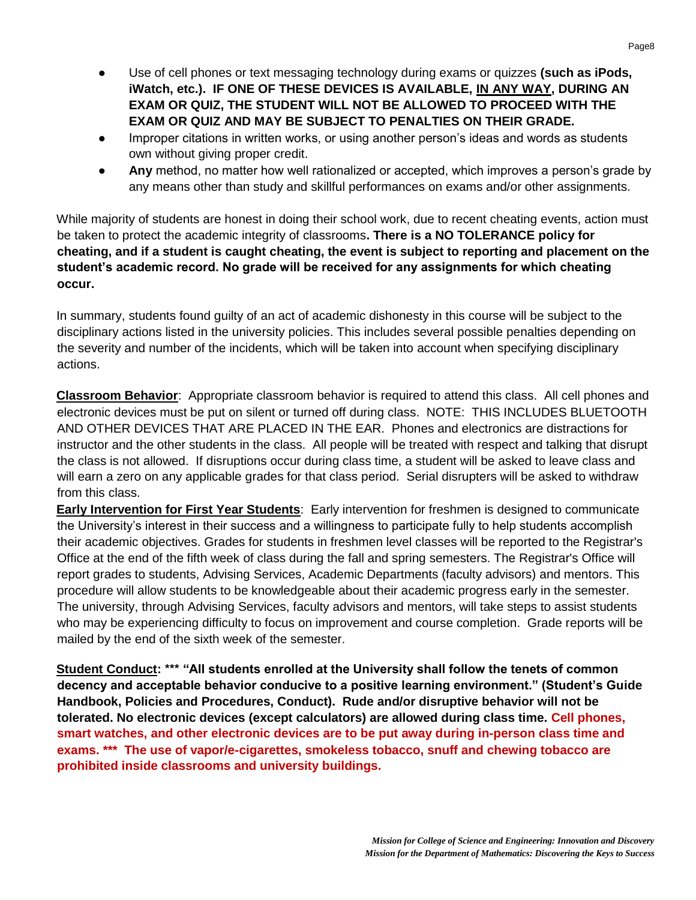- Use of cell phones or text messaging technology during exams or quizzes **(such as iPods, iWatch, etc.). IF ONE OF THESE DEVICES IS AVAILABLE, IN ANY WAY, DURING AN EXAM OR QUIZ, THE STUDENT WILL NOT BE ALLOWED TO PROCEED WITH THE EXAM OR QUIZ AND MAY BE SUBJECT TO PENALTIES ON THEIR GRADE.**
- Improper citations in written works, or using another person's ideas and words as students own without giving proper credit.
- Any method, no matter how well rationalized or accepted, which improves a person's grade by any means other than study and skillful performances on exams and/or other assignments.

While majority of students are honest in doing their school work, due to recent cheating events, action must be taken to protect the academic integrity of classrooms**. There is a NO TOLERANCE policy for cheating, and if a student is caught cheating, the event is subject to reporting and placement on the student's academic record. No grade will be received for any assignments for which cheating occur.**

In summary, students found guilty of an act of academic dishonesty in this course will be subject to the disciplinary actions listed in the university policies. This includes several possible penalties depending on the severity and number of the incidents, which will be taken into account when specifying disciplinary actions.

**Classroom Behavior**: Appropriate classroom behavior is required to attend this class. All cell phones and electronic devices must be put on silent or turned off during class. NOTE: THIS INCLUDES BLUETOOTH AND OTHER DEVICES THAT ARE PLACED IN THE EAR. Phones and electronics are distractions for instructor and the other students in the class. All people will be treated with respect and talking that disrupt the class is not allowed. If disruptions occur during class time, a student will be asked to leave class and will earn a zero on any applicable grades for that class period. Serial disrupters will be asked to withdraw from this class.

**Early Intervention for First Year Students**: Early intervention for freshmen is designed to communicate the University's interest in their success and a willingness to participate fully to help students accomplish their academic objectives. Grades for students in freshmen level classes will be reported to the Registrar's Office at the end of the fifth week of class during the fall and spring semesters. The Registrar's Office will report grades to students, Advising Services, Academic Departments (faculty advisors) and mentors. This procedure will allow students to be knowledgeable about their academic progress early in the semester. The university, through Advising Services, faculty advisors and mentors, will take steps to assist students who may be experiencing difficulty to focus on improvement and course completion. Grade reports will be mailed by the end of the sixth week of the semester.

**Student Conduct: \*\*\* "All students enrolled at the University shall follow the tenets of common decency and acceptable behavior conducive to a positive learning environment." (Student's Guide Handbook, Policies and Procedures, Conduct). Rude and/or disruptive behavior will not be tolerated. No electronic devices (except calculators) are allowed during class time. Cell phones, smart watches, and other electronic devices are to be put away during in-person class time and exams. \*\*\* The use of vapor/e-cigarettes, smokeless tobacco, snuff and chewing tobacco are prohibited inside classrooms and university buildings.**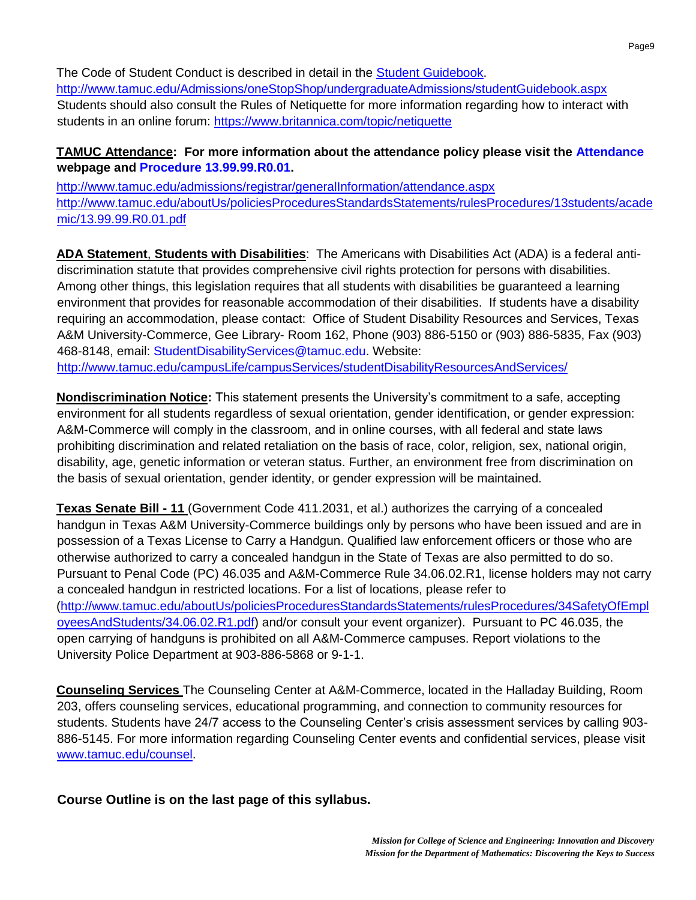The Code of Student Conduct is described in detail in the [Student Guidebook.](http://www.tamuc.edu/Admissions/oneStopShop/undergraduateAdmissions/studentGuidebook.aspx) <http://www.tamuc.edu/Admissions/oneStopShop/undergraduateAdmissions/studentGuidebook.aspx> Students should also consult the Rules of Netiquette for more information regarding how to interact with students in an online forum:<https://www.britannica.com/topic/netiquette>

### **TAMUC Attendance: For more information about the attendance policy please visit the [Attendance](http://www.tamuc.edu/admissions/registrar/generalInformation/attendance.aspx)  webpage and [Procedure 13.99.99.R0.01.](http://www.tamuc.edu/aboutUs/policiesProceduresStandardsStatements/rulesProcedures/13students/academic/13.99.99.R0.01.pdf)**

<http://www.tamuc.edu/admissions/registrar/generalInformation/attendance.aspx> [http://www.tamuc.edu/aboutUs/policiesProceduresStandardsStatements/rulesProcedures/13students/acade](http://www.tamuc.edu/aboutUs/policiesProceduresStandardsStatements/rulesProcedures/13students/academic/13.99.99.R0.01.pdf)  [mic/13.99.99.R0.01.pdf](http://www.tamuc.edu/aboutUs/policiesProceduresStandardsStatements/rulesProcedures/13students/academic/13.99.99.R0.01.pdf)

**ADA Statement**, **Students with Disabilities**: The Americans with Disabilities Act (ADA) is a federal antidiscrimination statute that provides comprehensive civil rights protection for persons with disabilities. Among other things, this legislation requires that all students with disabilities be guaranteed a learning environment that provides for reasonable accommodation of their disabilities. If students have a disability requiring an accommodation, please contact: Office of Student Disability Resources and Services, Texas A&M University-Commerce, Gee Library- Room 162, Phone (903) 886-5150 or (903) 886-5835, Fax (903) 468-8148, email: StudentDisabilityServices@tamuc.edu. Website: <http://www.tamuc.edu/campusLife/campusServices/studentDisabilityResourcesAndServices/>

**Nondiscrimination Notice:** This statement presents the University's commitment to a safe, accepting environment for all students regardless of sexual orientation, gender identification, or gender expression: A&M-Commerce will comply in the classroom, and in online courses, with all federal and state laws prohibiting discrimination and related retaliation on the basis of race, color, religion, sex, national origin, disability, age, genetic information or veteran status. Further, an environment free from discrimination on the basis of sexual orientation, gender identity, or gender expression will be maintained.

**Texas Senate Bill - 11** (Government Code 411.2031, et al.) authorizes the carrying of a concealed handgun in Texas A&M University-Commerce buildings only by persons who have been issued and are in possession of a Texas License to Carry a Handgun. Qualified law enforcement officers or those who are otherwise authorized to carry a concealed handgun in the State of Texas are also permitted to do so. Pursuant to Penal Code (PC) 46.035 and A&M-Commerce Rule 34.06.02.R1, license holders may not carry a concealed handgun in restricted locations. For a list of locations, please refer to [\(http://www.tamuc.edu/aboutUs/policiesProceduresStandardsStatements/rulesProcedures/34SafetyOfEmpl](http://www.tamuc.edu/aboutUs/policiesProceduresStandardsStatements/rulesProcedures/34SafetyOfEmployeesAndStudents/34.06.02.R1.pdf)  [oyeesAndStudents/34.06.02.R1.pdf\)](http://www.tamuc.edu/aboutUs/policiesProceduresStandardsStatements/rulesProcedures/34SafetyOfEmployeesAndStudents/34.06.02.R1.pdf) and/or consult your event organizer). Pursuant to PC 46.035, the open carrying of handguns is prohibited on all A&M-Commerce campuses. Report violations to the University Police Department at 903-886-5868 or 9-1-1.

**Counseling Services** The Counseling Center at A&M-Commerce, located in the Halladay Building, Room 203, offers counseling services, educational programming, and connection to community resources for students. Students have 24/7 access to the Counseling Center's crisis assessment services by calling 903- 886-5145. For more information regarding Counseling Center events and confidential services, please visit [www.tamuc.edu/counsel.](http://www.tamuc.edu/counsel)

## **Course Outline is on the last page of this syllabus.**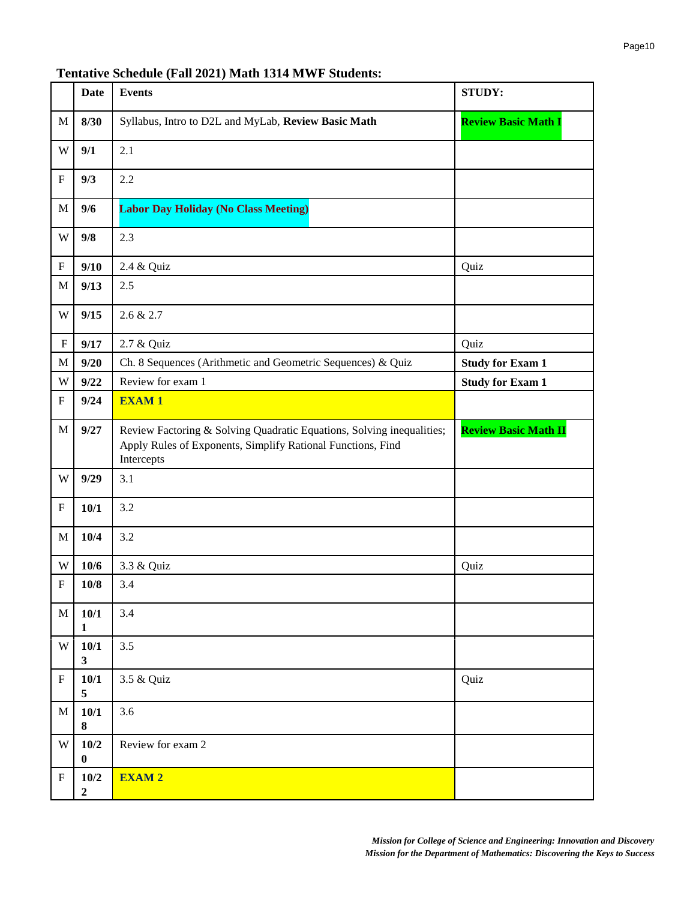### **Tentative Schedule (Fall 2021) Math 1314 MWF Students:**

|                           | <b>Date</b>              | <b>Events</b>                                                                                                                                      | <b>STUDY:</b>               |
|---------------------------|--------------------------|----------------------------------------------------------------------------------------------------------------------------------------------------|-----------------------------|
| $\mathbf M$               | 8/30                     | Syllabus, Intro to D2L and MyLab, Review Basic Math                                                                                                | <b>Review Basic Math I</b>  |
| W                         | 9/1                      | 2.1                                                                                                                                                |                             |
| ${\bf F}$                 | 9/3                      | 2.2                                                                                                                                                |                             |
| $\mathbf M$               | 9/6                      | <b>Labor Day Holiday (No Class Meeting)</b>                                                                                                        |                             |
| W                         | 9/8                      | 2.3                                                                                                                                                |                             |
| ${\bf F}$                 | 9/10                     | 2.4 & Quiz                                                                                                                                         | Quiz                        |
| $\mathbf M$               | 9/13                     | 2.5                                                                                                                                                |                             |
| W                         | 9/15                     | 2.6 & 2.7                                                                                                                                          |                             |
| ${\bf F}$                 | 9/17                     | 2.7 & Quiz                                                                                                                                         | Quiz                        |
| $\mathbf M$               | 9/20                     | Ch. 8 Sequences (Arithmetic and Geometric Sequences) & Quiz                                                                                        | <b>Study for Exam 1</b>     |
| W                         | 9/22                     | Review for exam 1                                                                                                                                  | <b>Study for Exam 1</b>     |
| ${\bf F}$                 | 9/24                     | <b>EXAM1</b>                                                                                                                                       |                             |
| $\mathbf M$               | 9/27                     | Review Factoring & Solving Quadratic Equations, Solving inequalities;<br>Apply Rules of Exponents, Simplify Rational Functions, Find<br>Intercepts | <b>Review Basic Math II</b> |
| W                         | 9/29                     | 3.1                                                                                                                                                |                             |
| ${\bf F}$                 | 10/1                     | 3.2                                                                                                                                                |                             |
| $\mathbf M$               | 10/4                     | 3.2                                                                                                                                                |                             |
| W                         | 10/6                     | 3.3 & Quiz                                                                                                                                         | Quiz                        |
| $\overline{F}$            | 10/8                     | 3.4                                                                                                                                                |                             |
| $\mathbf M$               | 10/1<br>$\mathbf{1}$     | 3.4                                                                                                                                                |                             |
| W                         | 10/1<br>$\mathbf{3}$     | 3.5                                                                                                                                                |                             |
| ${\bf F}$                 | 10/1<br>5                | 3.5 & Quiz                                                                                                                                         | Quiz                        |
| $\mathbf M$               | 10/1<br>8                | 3.6                                                                                                                                                |                             |
| W                         | 10/2<br>$\bf{0}$         | Review for exam 2                                                                                                                                  |                             |
| $\boldsymbol{\mathrm{F}}$ | 10/2<br>$\boldsymbol{2}$ | <b>EXAM2</b>                                                                                                                                       |                             |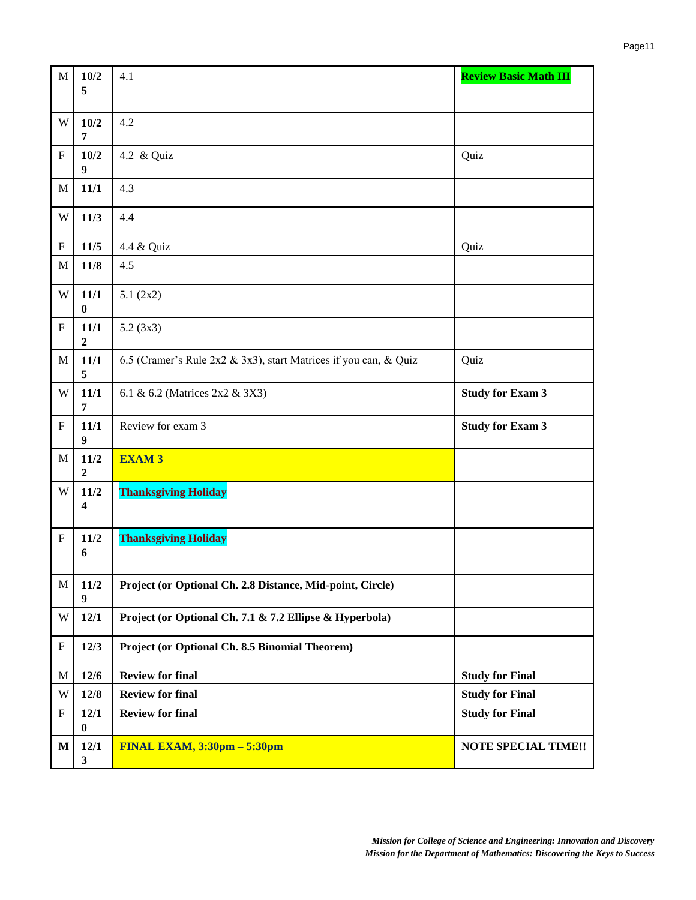| $\mathbf M$               | 10/2                       | 4.1                                                              | <b>Review Basic Math III</b> |
|---------------------------|----------------------------|------------------------------------------------------------------|------------------------------|
|                           | 5                          |                                                                  |                              |
| W                         | 10/2<br>$\overline{7}$     | 4.2                                                              |                              |
| $\mathbf F$               | 10/2<br>9                  | 4.2 & Quiz                                                       | Quiz                         |
| M                         | 11/1                       | 4.3                                                              |                              |
| W                         | 11/3                       | 4.4                                                              |                              |
| $\boldsymbol{\mathrm{F}}$ | 11/5                       | 4.4 & Quiz                                                       | Quiz                         |
| $\mathbf M$               | $11/8$                     | 4.5                                                              |                              |
| W                         | 11/1<br>$\bf{0}$           | 5.1(2x2)                                                         |                              |
| $\boldsymbol{\mathrm{F}}$ | 11/1<br>$\boldsymbol{2}$   | 5.2(3x3)                                                         |                              |
| M                         | 11/1<br>5                  | 6.5 (Cramer's Rule 2x2 & 3x3), start Matrices if you can, & Quiz | Quiz                         |
| W                         | 11/1<br>7                  | 6.1 & 6.2 (Matrices 2x2 & 3X3)                                   | <b>Study for Exam 3</b>      |
| $\boldsymbol{\mathrm{F}}$ | $11/1$<br>$\boldsymbol{9}$ | Review for exam 3                                                | <b>Study for Exam 3</b>      |
| M                         | $11/2$<br>$\boldsymbol{2}$ | <b>EXAM3</b>                                                     |                              |
| W                         | 11/2<br>4                  | <b>Thanksgiving Holiday</b>                                      |                              |
| ${\bf F}$                 | 11/2<br>6                  | <b>Thanksgiving Holiday</b>                                      |                              |
| $\mathbf M$               | $11/2$<br>9                | Project (or Optional Ch. 2.8 Distance, Mid-point, Circle)        |                              |
| W                         | 12/1                       | Project (or Optional Ch. 7.1 & 7.2 Ellipse & Hyperbola)          |                              |
| $\boldsymbol{\mathrm{F}}$ | 12/3                       | Project (or Optional Ch. 8.5 Binomial Theorem)                   |                              |
| $\mathbf M$               | $12/6$                     | <b>Review for final</b>                                          | <b>Study for Final</b>       |
| W                         | 12/8                       | <b>Review for final</b>                                          | <b>Study for Final</b>       |
| $\boldsymbol{\mathrm{F}}$ | 12/1<br>$\bf{0}$           | <b>Review for final</b>                                          | <b>Study for Final</b>       |
| $\mathbf M$               | 12/1<br>$\mathbf{3}$       | FINAL EXAM, $3:30$ pm $-5:30$ pm                                 | <b>NOTE SPECIAL TIME!!</b>   |